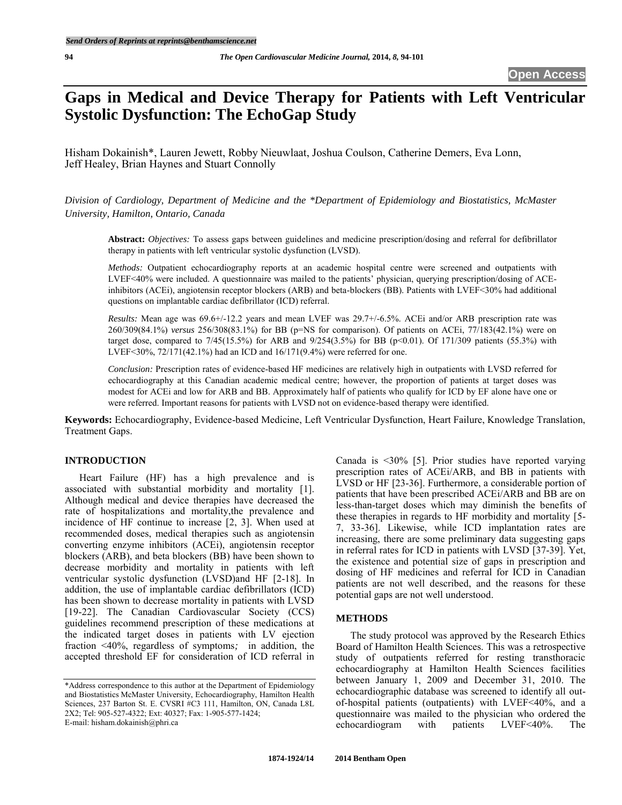# **Gaps in Medical and Device Therapy for Patients with Left Ventricular Systolic Dysfunction: The EchoGap Study**

Hisham Dokainish\*, Lauren Jewett, Robby Nieuwlaat, Joshua Coulson, Catherine Demers, Eva Lonn, Jeff Healey, Brian Haynes and Stuart Connolly

*Division of Cardiology, Department of Medicine and the \*Department of Epidemiology and Biostatistics, McMaster University, Hamilton, Ontario, Canada* 

**Abstract:** *Objectives:* To assess gaps between guidelines and medicine prescription/dosing and referral for defibrillator therapy in patients with left ventricular systolic dysfunction (LVSD).

*Methods:* Outpatient echocardiography reports at an academic hospital centre were screened and outpatients with LVEF<40% were included. A questionnaire was mailed to the patients' physician, querying prescription/dosing of ACEinhibitors (ACEi), angiotensin receptor blockers (ARB) and beta-blockers (BB). Patients with LVEF<30% had additional questions on implantable cardiac defibrillator (ICD) referral.

*Results:* Mean age was 69.6+/-12.2 years and mean LVEF was 29.7+/-6.5%. ACEi and/or ARB prescription rate was 260/309(84.1%) *versus* 256/308(83.1%) for BB (p=NS for comparison). Of patients on ACEi, 77/183(42.1%) were on target dose, compared to  $7/45(15.5%)$  for ARB and  $9/254(3.5%)$  for BB ( $p<0.01$ ). Of 171/309 patients (55.3%) with LVEF<30%, 72/171(42.1%) had an ICD and 16/171(9.4%) were referred for one.

*Conclusion:* Prescription rates of evidence-based HF medicines are relatively high in outpatients with LVSD referred for echocardiography at this Canadian academic medical centre; however, the proportion of patients at target doses was modest for ACEi and low for ARB and BB. Approximately half of patients who qualify for ICD by EF alone have one or were referred. Important reasons for patients with LVSD not on evidence-based therapy were identified.

**Keywords:** Echocardiography, Evidence-based Medicine, Left Ventricular Dysfunction, Heart Failure, Knowledge Translation, Treatment Gaps.

#### **INTRODUCTION**

Heart Failure (HF) has a high prevalence and is associated with substantial morbidity and mortality [1]. Although medical and device therapies have decreased the rate of hospitalizations and mortality,the prevalence and incidence of HF continue to increase [2, 3]. When used at recommended doses, medical therapies such as angiotensin converting enzyme inhibitors (ACEi), angiotensin receptor blockers (ARB), and beta blockers (BB) have been shown to decrease morbidity and mortality in patients with left ventricular systolic dysfunction (LVSD)and HF [2-18]. In addition, the use of implantable cardiac defibrillators (ICD) has been shown to decrease mortality in patients with LVSD [19-22]. The Canadian Cardiovascular Society (CCS) guidelines recommend prescription of these medications at the indicated target doses in patients with LV ejection fraction <40%, regardless of symptoms*;* in addition, the accepted threshold EF for consideration of ICD referral in Canada is <30% [5]. Prior studies have reported varying prescription rates of ACEi/ARB, and BB in patients with LVSD or HF [23-36]. Furthermore, a considerable portion of patients that have been prescribed ACEi/ARB and BB are on less-than-target doses which may diminish the benefits of these therapies in regards to HF morbidity and mortality [5- 7, 33-36]. Likewise, while ICD implantation rates are increasing, there are some preliminary data suggesting gaps in referral rates for ICD in patients with LVSD [37-39]. Yet, the existence and potential size of gaps in prescription and dosing of HF medicines and referral for ICD in Canadian patients are not well described, and the reasons for these potential gaps are not well understood.

#### **METHODS**

The study protocol was approved by the Research Ethics Board of Hamilton Health Sciences. This was a retrospective study of outpatients referred for resting transthoracic echocardiography at Hamilton Health Sciences facilities between January 1, 2009 and December 31, 2010. The echocardiographic database was screened to identify all outof-hospital patients (outpatients) with LVEF<40%, and a questionnaire was mailed to the physician who ordered the echocardiogram with patients LVEF<40%. The echocardiogram with patients LVEF<40%. The

<sup>\*</sup>Address correspondence to this author at the Department of Epidemiology and Biostatistics McMaster University, Echocardiography, Hamilton Health Sciences, 237 Barton St. E. CVSRI #C3 111, Hamilton, ON, Canada L8L 2X2; Tel: 905-527-4322; Ext: 40327; Fax: 1-905-577-1424; E-mail: [hisham.dokainish@phri.ca](mailto:hisham.dokainish@phri.ca)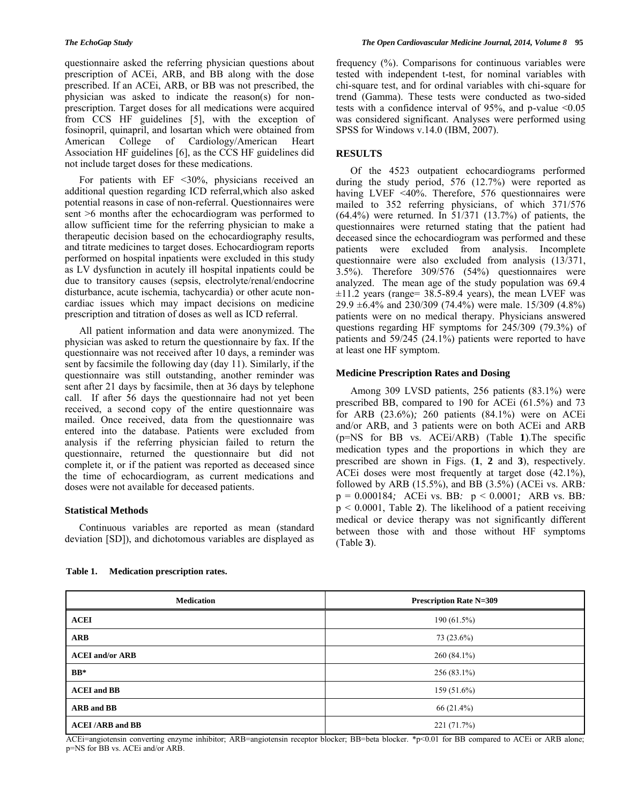questionnaire asked the referring physician questions about prescription of ACEi, ARB, and BB along with the dose prescribed. If an ACEi, ARB, or BB was not prescribed, the physician was asked to indicate the reason(s) for nonprescription. Target doses for all medications were acquired from CCS HF guidelines [5], with the exception of fosinopril, quinapril, and losartan which were obtained from American College of Cardiology/American Heart Association HF guidelines [6], as the CCS HF guidelines did not include target doses for these medications.

For patients with EF <30%, physicians received an additional question regarding ICD referral,which also asked potential reasons in case of non-referral. Questionnaires were sent >6 months after the echocardiogram was performed to allow sufficient time for the referring physician to make a therapeutic decision based on the echocardiography results, and titrate medicines to target doses. Echocardiogram reports performed on hospital inpatients were excluded in this study as LV dysfunction in acutely ill hospital inpatients could be due to transitory causes (sepsis, electrolyte/renal/endocrine disturbance, acute ischemia, tachycardia) or other acute noncardiac issues which may impact decisions on medicine prescription and titration of doses as well as ICD referral.

All patient information and data were anonymized. The physician was asked to return the questionnaire by fax. If the questionnaire was not received after 10 days, a reminder was sent by facsimile the following day (day 11). Similarly, if the questionnaire was still outstanding, another reminder was sent after 21 days by facsimile, then at 36 days by telephone call. If after 56 days the questionnaire had not yet been received, a second copy of the entire questionnaire was mailed. Once received, data from the questionnaire was entered into the database. Patients were excluded from analysis if the referring physician failed to return the questionnaire, returned the questionnaire but did not complete it, or if the patient was reported as deceased since the time of echocardiogram, as current medications and doses were not available for deceased patients.

# **Statistical Methods**

Continuous variables are reported as mean (standard deviation [SD]), and dichotomous variables are displayed as frequency (%). Comparisons for continuous variables were tested with independent t-test, for nominal variables with chi-square test, and for ordinal variables with chi-square for trend (Gamma). These tests were conducted as two-sided tests with a confidence interval of 95%, and p-value <0.05 was considered significant. Analyses were performed using SPSS for Windows v.14.0 (IBM, 2007).

### **RESULTS**

Of the 4523 outpatient echocardiograms performed during the study period, 576 (12.7%) were reported as having LVEF <40%. Therefore, 576 questionnaires were mailed to 352 referring physicians, of which 371/576 (64.4%) were returned. In 51/371 (13.7%) of patients, the questionnaires were returned stating that the patient had deceased since the echocardiogram was performed and these patients were excluded from analysis. Incomplete questionnaire were also excluded from analysis (13/371, 3.5%). Therefore 309/576 (54%) questionnaires were analyzed. The mean age of the study population was 69.4 ±11.2 years (range= 38.5-89.4 years), the mean LVEF was 29.9 ±6.4% and 230/309 (74.4%) were male. 15/309 (4.8%) patients were on no medical therapy. Physicians answered questions regarding HF symptoms for 245/309 (79.3%) of patients and 59/245 (24.1%) patients were reported to have at least one HF symptom.

# **Medicine Prescription Rates and Dosing**

Among 309 LVSD patients, 256 patients (83.1%) were prescribed BB, compared to 190 for ACEi (61.5%) and 73 for ARB (23.6%)*;* 260 patients (84.1%) were on ACEi and/or ARB, and 3 patients were on both ACEi and ARB (p=NS for BB vs. ACEi/ARB) (Table **1**).The specific medication types and the proportions in which they are prescribed are shown in Figs. (**1**, **2** and **3**), respectively. ACEi doses were most frequently at target dose (42.1%), followed by ARB (15.5%), and BB (3.5%) (ACEi vs. ARB*:*  p = 0.000184*;* ACEi vs. BB*:* p < 0.0001*;* ARB vs. BB*:*  p < 0.0001, Table **2**). The likelihood of a patient receiving medical or device therapy was not significantly different between those with and those without HF symptoms (Table **3**).

| <b>Medication</b>         | <b>Prescription Rate N=309</b> |
|---------------------------|--------------------------------|
| <b>ACEI</b>               | 190 (61.5%)                    |
| <b>ARB</b>                | 73 (23.6%)                     |
| <b>ACEI</b> and/or ARB    | 260 (84.1%)                    |
| $BB*$                     | $256(83.1\%)$                  |
| <b>ACEI</b> and <b>BB</b> | $159(51.6\%)$                  |
| <b>ARB</b> and <b>BB</b>  | 66 (21.4%)                     |
| <b>ACEI</b> /ARB and BB   | 221 (71.7%)                    |

#### **Table 1. Medication prescription rates.**

ACEi=angiotensin converting enzyme inhibitor; ARB=angiotensin receptor blocker; BB=beta blocker. \*p<0.01 for BB compared to ACEi or ARB alone; p=NS for BB vs. ACEi and/or ARB.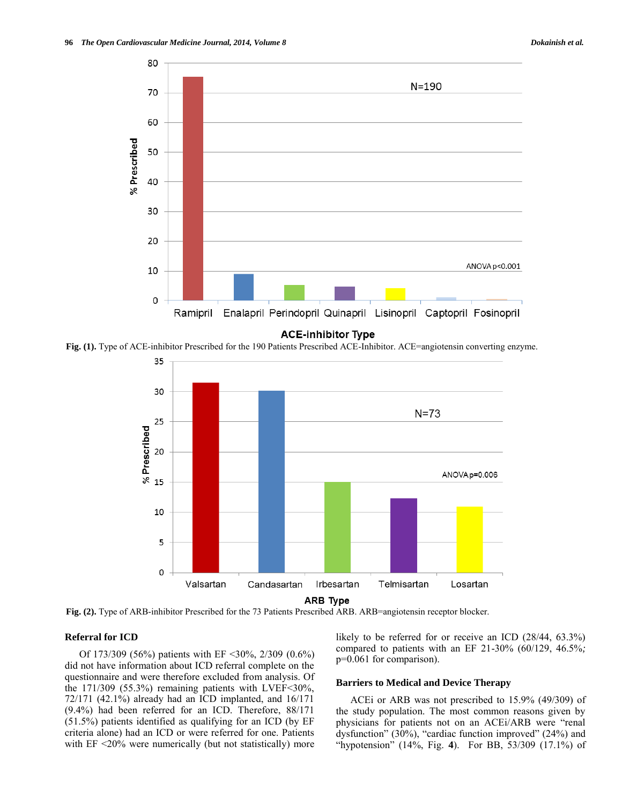

**Fig. (1).** Type of ACE-inhibitor Prescribed for the 190 Patients Prescribed ACE-Inhibitor. ACE=angiotensin converting enzyme.



**ARB Type** 

**Fig. (2).** Type of ARB-inhibitor Prescribed for the 73 Patients Prescribed ARB. ARB=angiotensin receptor blocker.

# **Referral for ICD**

Of 173/309 (56%) patients with EF <30%, 2/309 (0.6%) did not have information about ICD referral complete on the questionnaire and were therefore excluded from analysis. Of the  $171/309$  (55.3%) remaining patients with LVEF<30%, 72/171 (42.1%) already had an ICD implanted, and 16/171 (9.4%) had been referred for an ICD. Therefore, 88/171 (51.5%) patients identified as qualifying for an ICD (by EF criteria alone) had an ICD or were referred for one. Patients with EF <20% were numerically (but not statistically) more likely to be referred for or receive an ICD (28/44, 63.3%) compared to patients with an EF 21-30% (60/129, 46.5%*;*  p=0.061 for comparison).

#### **Barriers to Medical and Device Therapy**

ACEi or ARB was not prescribed to 15.9% (49/309) of the study population. The most common reasons given by physicians for patients not on an ACEi/ARB were "renal dysfunction" (30%), "cardiac function improved" (24%) and "hypotension" (14%, Fig. **4**). For BB, 53/309 (17.1%) of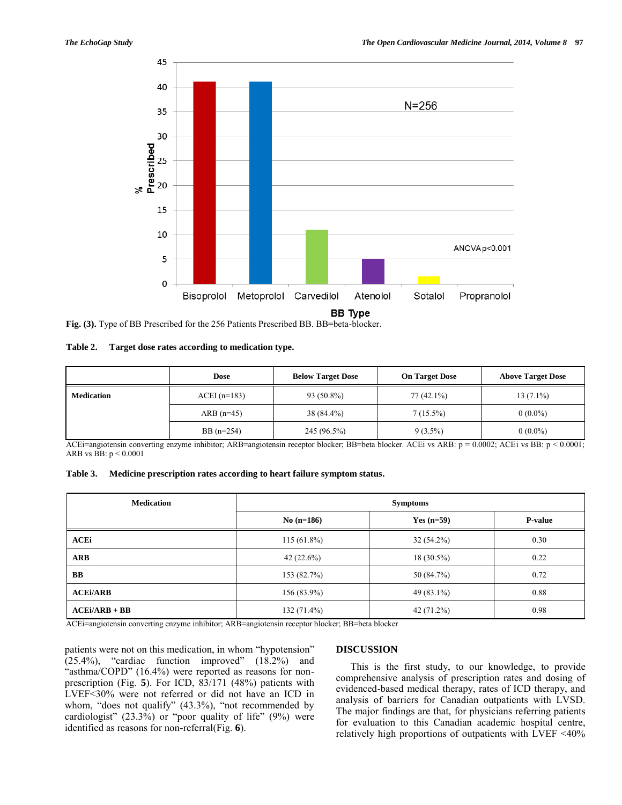

**Fig. (3).** Type of BB Prescribed for the 256 Patients Prescribed BB. BB=beta-blocker.

| Table 2. | Target dose rates according to medication type. |  |
|----------|-------------------------------------------------|--|
|          |                                                 |  |

|                   | <b>Dose</b>   | <b>Below Target Dose</b> | <b>On Target Dose</b> | <b>Above Target Dose</b> |
|-------------------|---------------|--------------------------|-----------------------|--------------------------|
| <b>Medication</b> | $ACEI(n=183)$ | 93 (50.8%)               | $77(42.1\%)$          | $13(7.1\%)$              |
|                   | ARB $(n=45)$  | 38 (84.4%)               | $7(15.5\%)$           | $0(0.0\%)$               |
|                   | BB $(n=254)$  | 245 (96.5%)              | $9(3.5\%)$            | $0(0.0\%)$               |

ACEi=angiotensin converting enzyme inhibitor; ARB=angiotensin receptor blocker; BB=beta blocker. ACEi vs ARB: p = 0.0002; ACEi vs BB: p < 0.0001; ARB vs BB: p < 0.0001

| Table 3. | Medicine prescription rates according to heart failure symptom status. |  |  |
|----------|------------------------------------------------------------------------|--|--|
|----------|------------------------------------------------------------------------|--|--|

| <b>Medication</b> | <b>Symptoms</b> |              |                |
|-------------------|-----------------|--------------|----------------|
|                   | $No(n=186)$     | Yes $(n=59)$ | <b>P-value</b> |
| <b>ACEi</b>       | $115(61.8\%)$   | $32(54.2\%)$ | 0.30           |
| <b>ARB</b>        | 42 $(22.6\%)$   | $18(30.5\%)$ | 0.22           |
| BB                | 153 (82.7%)     | 50 (84.7%)   | 0.72           |
| <b>ACEi/ARB</b>   | $156(83.9\%)$   | $49(83.1\%)$ | 0.88           |
| $ACEi/ARB + BB$   | $132(71.4\%)$   | $42(71.2\%)$ | 0.98           |

ACEi=angiotensin converting enzyme inhibitor; ARB=angiotensin receptor blocker; BB=beta blocker

patients were not on this medication, in whom "hypotension" (25.4%), "cardiac function improved" (18.2%) and "asthma/COPD" (16.4%) were reported as reasons for nonprescription (Fig. **5**). For ICD, 83/171 (48%) patients with LVEF<30% were not referred or did not have an ICD in whom, "does not qualify" (43.3%), "not recommended by cardiologist"  $(23.3\%)$  or "poor quality of life"  $(9\%)$  were identified as reasons for non-referral(Fig. **6**).

# **DISCUSSION**

This is the first study, to our knowledge, to provide comprehensive analysis of prescription rates and dosing of evidenced-based medical therapy, rates of ICD therapy, and analysis of barriers for Canadian outpatients with LVSD. The major findings are that, for physicians referring patients for evaluation to this Canadian academic hospital centre, relatively high proportions of outpatients with LVEF <40%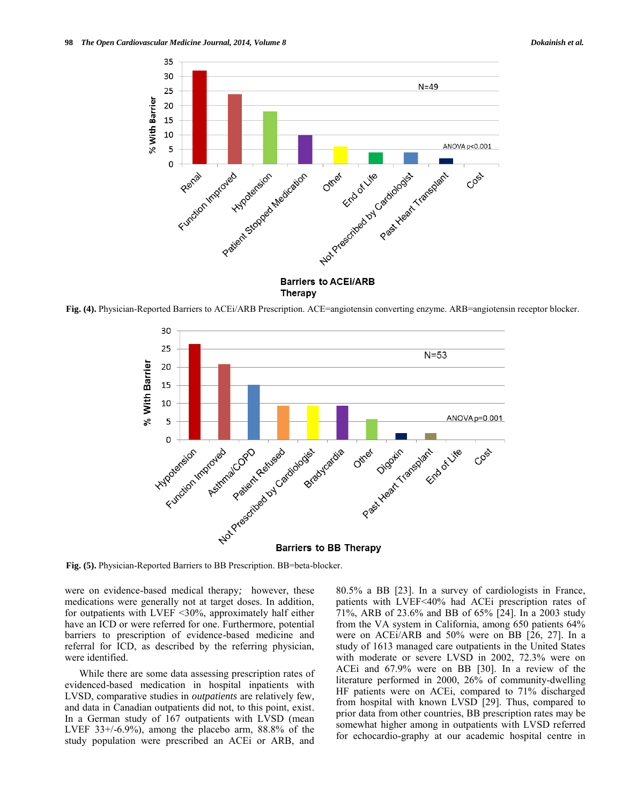

**Fig. (4).** Physician-Reported Barriers to ACEi/ARB Prescription. ACE=angiotensin converting enzyme. ARB=angiotensin receptor blocker.



**Fig. (5).** Physician-Reported Barriers to BB Prescription. BB=beta-blocker.

were on evidence-based medical therapy*;* however, these medications were generally not at target doses. In addition, for outpatients with LVEF <30%, approximately half either have an ICD or were referred for one. Furthermore, potential barriers to prescription of evidence-based medicine and referral for ICD, as described by the referring physician, were identified.

While there are some data assessing prescription rates of evidenced-based medication in hospital inpatients with LVSD, comparative studies in *outpatients* are relatively few, and data in Canadian outpatients did not, to this point, exist. In a German study of 167 outpatients with LVSD (mean LVEF  $33+/6.9%$ , among the placebo arm, 88.8% of the study population were prescribed an ACEi or ARB, and 80.5% a BB [23]. In a survey of cardiologists in France, patients with LVEF<40% had ACEi prescription rates of 71%, ARB of 23.6% and BB of 65% [24]. In a 2003 study from the VA system in California, among 650 patients 64% were on ACEi/ARB and 50% were on BB [26, 27]. In a study of 1613 managed care outpatients in the United States with moderate or severe LVSD in 2002, 72.3% were on ACEi and 67.9% were on BB [30]. In a review of the literature performed in 2000, 26% of community-dwelling HF patients were on ACEi, compared to 71% discharged from hospital with known LVSD [29]. Thus, compared to prior data from other countries, BB prescription rates may be somewhat higher among in outpatients with LVSD referred for echocardio-graphy at our academic hospital centre in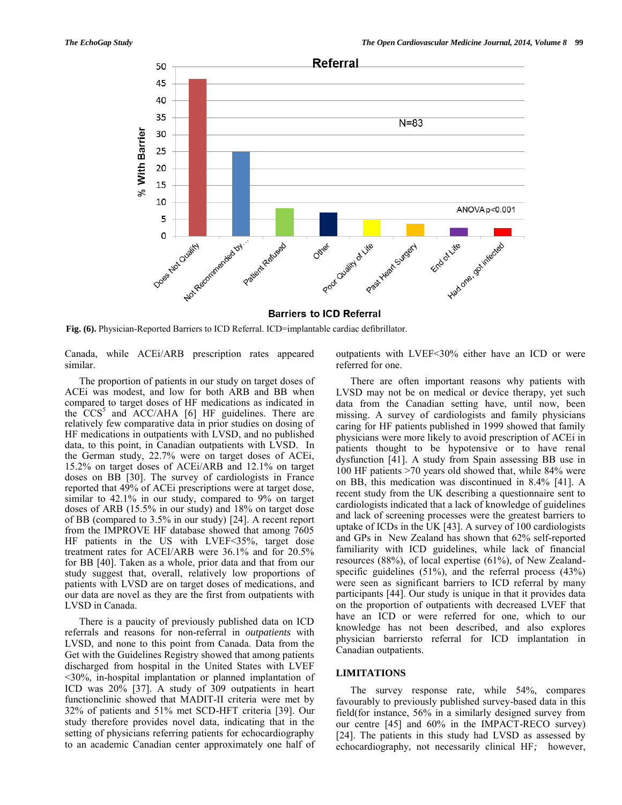

**Barriers to ICD Referral** 

**Fig. (6).** Physician-Reported Barriers to ICD Referral. ICD=implantable cardiac defibrillator.

Canada, while ACEi/ARB prescription rates appeared similar.

The proportion of patients in our study on target doses of ACEi was modest, and low for both ARB and BB when compared to target doses of HF medications as indicated in the  $\text{CCS}^5$  and  $\text{ACC/AHA}$  [6] HF guidelines. There are relatively few comparative data in prior studies on dosing of HF medications in outpatients with LVSD, and no published data, to this point, in Canadian outpatients with LVSD. In the German study, 22.7% were on target doses of ACEi, 15.2% on target doses of ACEi/ARB and 12.1% on target doses on BB [30]. The survey of cardiologists in France reported that 49% of ACEi prescriptions were at target dose, similar to 42.1% in our study, compared to 9% on target doses of ARB (15.5% in our study) and 18% on target dose of BB (compared to 3.5% in our study) [24]. A recent report from the IMPROVE HF database showed that among 7605 HF patients in the US with LVEF<35%, target dose treatment rates for ACEI/ARB were 36.1% and for 20.5% for BB [40]. Taken as a whole, prior data and that from our study suggest that, overall, relatively low proportions of patients with LVSD are on target doses of medications, and our data are novel as they are the first from outpatients with LVSD in Canada.

There is a paucity of previously published data on ICD referrals and reasons for non-referral in *outpatients* with LVSD, and none to this point from Canada. Data from the Get with the Guidelines Registry showed that among patients discharged from hospital in the United States with LVEF <30%, in-hospital implantation or planned implantation of ICD was 20% [37]. A study of 309 outpatients in heart functionclinic showed that MADIT-II criteria were met by 32% of patients and 51% met SCD-HFT criteria [39]. Our study therefore provides novel data, indicating that in the setting of physicians referring patients for echocardiography to an academic Canadian center approximately one half of outpatients with LVEF<30% either have an ICD or were referred for one.

There are often important reasons why patients with LVSD may not be on medical or device therapy, yet such data from the Canadian setting have, until now, been missing. A survey of cardiologists and family physicians caring for HF patients published in 1999 showed that family physicians were more likely to avoid prescription of ACEi in patients thought to be hypotensive or to have renal dysfunction [41]. A study from Spain assessing BB use in 100 HF patients >70 years old showed that, while 84% were on BB, this medication was discontinued in 8.4% [41]. A recent study from the UK describing a questionnaire sent to cardiologists indicated that a lack of knowledge of guidelines and lack of screening processes were the greatest barriers to uptake of ICDs in the UK [43]. A survey of 100 cardiologists and GPs in New Zealand has shown that 62% self-reported familiarity with ICD guidelines, while lack of financial resources (88%), of local expertise (61%), of New Zealandspecific guidelines (51%), and the referral process (43%) were seen as significant barriers to ICD referral by many participants [44]. Our study is unique in that it provides data on the proportion of outpatients with decreased LVEF that have an ICD or were referred for one, which to our knowledge has not been described, and also explores physician barriersto referral for ICD implantation in Canadian outpatients.

# **LIMITATIONS**

The survey response rate, while 54%, compares favourably to previously published survey-based data in this field(for instance, 56% in a similarly designed survey from our centre [45] and 60% in the IMPACT-RECO survey) [24]. The patients in this study had LVSD as assessed by echocardiography, not necessarily clinical HF*;* however,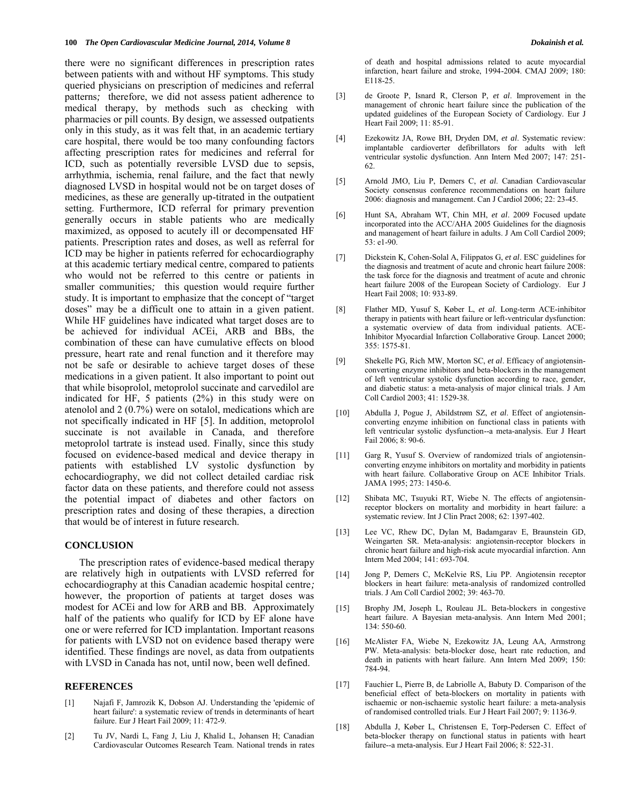there were no significant differences in prescription rates between patients with and without HF symptoms. This study queried physicians on prescription of medicines and referral patterns*;* therefore, we did not assess patient adherence to medical therapy, by methods such as checking with pharmacies or pill counts. By design, we assessed outpatients only in this study, as it was felt that, in an academic tertiary care hospital, there would be too many confounding factors affecting prescription rates for medicines and referral for ICD, such as potentially reversible LVSD due to sepsis, arrhythmia, ischemia, renal failure, and the fact that newly diagnosed LVSD in hospital would not be on target doses of medicines, as these are generally up-titrated in the outpatient setting. Furthermore, ICD referral for primary prevention generally occurs in stable patients who are medically maximized, as opposed to acutely ill or decompensated HF patients. Prescription rates and doses, as well as referral for ICD may be higher in patients referred for echocardiography at this academic tertiary medical centre, compared to patients who would not be referred to this centre or patients in smaller communities*;* this question would require further study. It is important to emphasize that the concept of "target doses" may be a difficult one to attain in a given patient. While HF guidelines have indicated what target doses are to be achieved for individual ACEi, ARB and BBs, the combination of these can have cumulative effects on blood pressure, heart rate and renal function and it therefore may not be safe or desirable to achieve target doses of these medications in a given patient. It also important to point out that while bisoprolol, metoprolol succinate and carvedilol are indicated for HF, 5 patients (2%) in this study were on atenolol and 2 (0.7%) were on sotalol, medications which are not specifically indicated in HF [5]. In addition, metoprolol succinate is not available in Canada, and therefore metoprolol tartrate is instead used. Finally, since this study focused on evidence-based medical and device therapy in patients with established LV systolic dysfunction by echocardiography, we did not collect detailed cardiac risk factor data on these patients, and therefore could not assess the potential impact of diabetes and other factors on prescription rates and dosing of these therapies, a direction that would be of interest in future research.

#### **CONCLUSION**

The prescription rates of evidence-based medical therapy are relatively high in outpatients with LVSD referred for echocardiography at this Canadian academic hospital centre*;*  however, the proportion of patients at target doses was modest for ACEi and low for ARB and BB. Approximately half of the patients who qualify for ICD by EF alone have one or were referred for ICD implantation. Important reasons for patients with LVSD not on evidence based therapy were identified. These findings are novel, as data from outpatients with LVSD in Canada has not, until now, been well defined.

#### **REFERENCES**

- [1] Najafi F, Jamrozik K, Dobson AJ. Understanding the 'epidemic of heart failure': a systematic review of trends in determinants of heart failure. Eur J Heart Fail 2009; 11: 472-9.
- [2] Tu JV, Nardi L, Fang J, Liu J, Khalid L, Johansen H; Canadian Cardiovascular Outcomes Research Team. [National trends in rates](http://www.ncbi.nlm.nih.gov/pubmed/19546444)

[of death and hospital admissions related to acute myocardial](http://www.ncbi.nlm.nih.gov/pubmed/19546444)  [infarction, heart failure and stroke, 1994-2004.](http://www.ncbi.nlm.nih.gov/pubmed/19546444) CMAJ 2009; 180: E118-25.

- [3] de Groote P, Isnard R, Clerson P, *et al*. Improvement in the management of chronic heart failure since the publication of the updated guidelines of the European Society of Cardiology. Eur J Heart Fail 2009; 11: 85-91.
- [4] Ezekowitz JA, Rowe BH, Dryden DM, *et al*. [Systematic review:](http://www.ncbi.nlm.nih.gov/pubmed/17709759)  [implantable cardioverter defibrillators for adults with left](http://www.ncbi.nlm.nih.gov/pubmed/17709759)  [ventricular systolic dysfunction.](http://www.ncbi.nlm.nih.gov/pubmed/17709759) Ann Intern Med 2007; 147: 251- 62.
- [5] Arnold JMO, Liu P, Demers C, *et al*. Canadian Cardiovascular Society consensus conference recommendations on heart failure 2006: diagnosis and management. Can J Cardiol 2006; 22: 23-45.
- [6] Hunt SA, Abraham WT, Chin MH, *et al*. [2009 Focused update](http://www.ncbi.nlm.nih.gov/pubmed/19358937)  [incorporated into the ACC/AHA 2005 Guidelines for the diagnosis](http://www.ncbi.nlm.nih.gov/pubmed/19358937)  [and management of heart failure in adults.](http://www.ncbi.nlm.nih.gov/pubmed/19358937) J Am Coll Cardiol 2009; 53: e1-90.
- [7] Dickstein K, Cohen-Solal A, Filippatos G, *et al*[. ESC guidelines for](http://www.ncbi.nlm.nih.gov/pubmed/18826876)  [the diagnosis and treatment of acute and chronic heart failure 2008:](http://www.ncbi.nlm.nih.gov/pubmed/18826876)  [the task force for the diagnosis and treatment of acute and chronic](http://www.ncbi.nlm.nih.gov/pubmed/18826876)  [heart failure 2008 of the European Society of Cardiology.](http://www.ncbi.nlm.nih.gov/pubmed/18826876) Eur J Heart Fail 2008; 10: 933-89.
- [8] Flather MD, Yusuf S, [Køber L,](http://www.ncbi.nlm.nih.gov/pubmed?term=%22K%C3%B8ber%20L%22%5BAuthor%5D&itool=EntrezSystem2.PEntrez.Pubmed.Pubmed_ResultsPanel.Pubmed_RVAbstract) *et al*. Long-term ACE-inhibitor therapy in patients with heart failure or left-ventricular dysfunction: a systematic overview of data from individual patients. ACE-Inhibitor Myocardial Infarction Collaborative Group. Lancet 2000; 355: 1575-81.
- [9] Shekelle PG, Rich MW, Morton SC, *et al*. Efficacy of angiotensinconverting enzyme inhibitors and beta-blockers in the management of left ventricular systolic dysfunction according to race, gender, and diabetic status: a meta-analysis of major clinical trials. J Am Coll Cardiol 2003; 41: 1529-38.
- [10] Abdulla J, Pogue J, Abildstrøm SZ, *et al*. [Effect of angiotensin](http://www.ncbi.nlm.nih.gov/pubmed/16054435)[converting enzyme inhibition on functional class in patients with](http://www.ncbi.nlm.nih.gov/pubmed/16054435)  [left ventricular systolic dysfunction--a meta-analysis.](http://www.ncbi.nlm.nih.gov/pubmed/16054435) Eur J Heart Fail 2006; 8: 90-6.
- [11] Garg R, Yusuf S. [Overview of randomized trials of angiotensin](http://www.ncbi.nlm.nih.gov/pubmed/7654275)[converting enzyme inhibitors on mortality and morbidity in patients](http://www.ncbi.nlm.nih.gov/pubmed/7654275)  [with heart failure. Collaborative Group on ACE Inhibitor Trials.](http://www.ncbi.nlm.nih.gov/pubmed/7654275) JAMA 1995; 273: 1450-6.
- [12] Shibata MC, Tsuyuki RT, Wiebe N. [The effects of angiotensin](http://www.ncbi.nlm.nih.gov/pubmed/18793376)[receptor blockers on mortality and morbidity in heart failure: a](http://www.ncbi.nlm.nih.gov/pubmed/18793376)  [systematic review.](http://www.ncbi.nlm.nih.gov/pubmed/18793376) Int J Clin Pract 2008; 62: 1397-402.
- [13] Lee VC, Rhew DC, Dylan M, Badamgarav E, Braunstein GD, Weingarten SR. [Meta-analysis: angiotensin-receptor blockers in](http://www.ncbi.nlm.nih.gov/pubmed/15520426)  [chronic heart failure and high-risk acute myocardial infarction.](http://www.ncbi.nlm.nih.gov/pubmed/15520426) Ann Intern Med 2004; 141: 693-704.
- [14] Jong P, Demers C, McKelvie RS, Liu PP. Angiotensin receptor blockers in heart failure: meta-analysis of randomized controlled trials. J Am Coll Cardiol 2002; 39: 463-70.
- [15] Brophy JM, Joseph L, Rouleau JL. Beta-blockers in congestive heart failure. A Bayesian meta-analysis. Ann Intern Med 2001; 134: 550-60.
- [16] McAlister FA, Wiebe N, Ezekowitz JA, Leung AA, Armstrong PW. [Meta-analysis: beta-blocker dose, heart rate reduction, and](http://www.ncbi.nlm.nih.gov/pubmed/19487713)  [death in patients with heart failure.](http://www.ncbi.nlm.nih.gov/pubmed/19487713) Ann Intern Med 2009; 150: 784-94.
- [17] Fauchier L, Pierre B, de Labriolle A, Babuty D. Comparison of the [beneficial effect of beta-blockers on mortality in patients with](http://www.ncbi.nlm.nih.gov/pubmed/17936068)  [ischaemic or non-ischaemic systolic heart](http://www.ncbi.nlm.nih.gov/pubmed/17936068) failure: a meta-analysis [of randomised controlled trials.](http://www.ncbi.nlm.nih.gov/pubmed/17936068) Eur J Heart Fail 2007; 9: 1136-9.
- [18] Abdulla J, Køber L, Christensen E, Torp-Pedersen C. [Effect of](http://www.ncbi.nlm.nih.gov/pubmed/16376611)  [beta-blocker therapy on functional status in patients with heart](http://www.ncbi.nlm.nih.gov/pubmed/16376611)  [failure--a meta-analysis.](http://www.ncbi.nlm.nih.gov/pubmed/16376611) Eur J Heart Fail 2006; 8: 522-31.